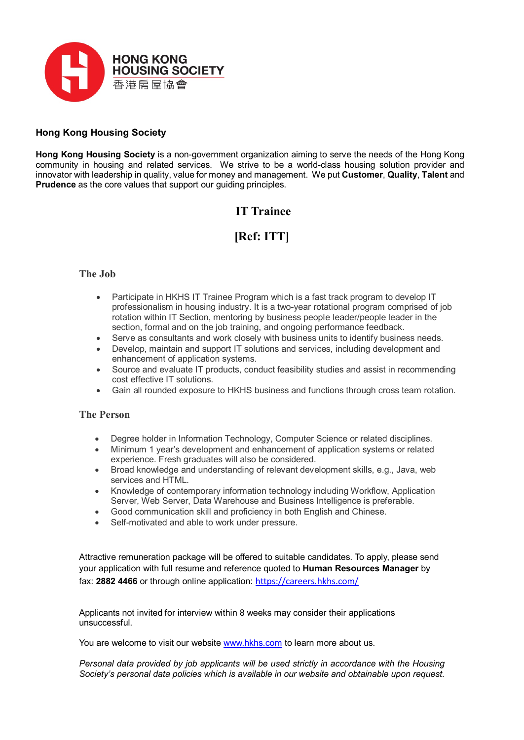

### **Hong Kong Housing Society**

**Hong Kong Housing Society** is a non-government organization aiming to serve the needs of the Hong Kong community in housing and related services. We strive to be a world-class housing solution provider and innovator with leadership in quality, value for money and management. We put **Customer**, **Quality**, **Talent** and **Prudence** as the core values that support our guiding principles.

## **IT Trainee**

# **[Ref: ITT]**

### **The Job**

- Participate in HKHS IT Trainee Program which is a fast track program to develop IT professionalism in housing industry. It is a two-year rotational program comprised of job rotation within IT Section, mentoring by business people leader/people leader in the section, formal and on the job training, and ongoing performance feedback.
- Serve as consultants and work closely with business units to identify business needs.
- Develop, maintain and support IT solutions and services, including development and enhancement of application systems.
- Source and evaluate IT products, conduct feasibility studies and assist in recommending cost effective IT solutions.
- Gain all rounded exposure to HKHS business and functions through cross team rotation.

#### **The Person**

- Degree holder in Information Technology, Computer Science or related disciplines.
- Minimum 1 year's development and enhancement of application systems or related experience. Fresh graduates will also be considered.
- Broad knowledge and understanding of relevant development skills, e.g., Java, web services and HTML.
- Knowledge of contemporary information technology including Workflow, Application Server, Web Server, Data Warehouse and Business Intelligence is preferable.
- Good communication skill and proficiency in both English and Chinese.
- Self-motivated and able to work under pressure.

Attractive remuneration package will be offered to suitable candidates. To apply, please send your application with full resume and reference quoted to **Human Resources Manager** by fax: **2882 4466** or through online application: <https://careers.hkhs.com/>

Applicants not invited for interview within 8 weeks may consider their applications unsuccessful.

You are welcome to visit our website [www.hkhs.com](http://www.hkhs.com/) to learn more about us.

*Personal data provided by job applicants will be used strictly in accordance with the Housing Society's personal data policies which is available in our website and obtainable upon request.*